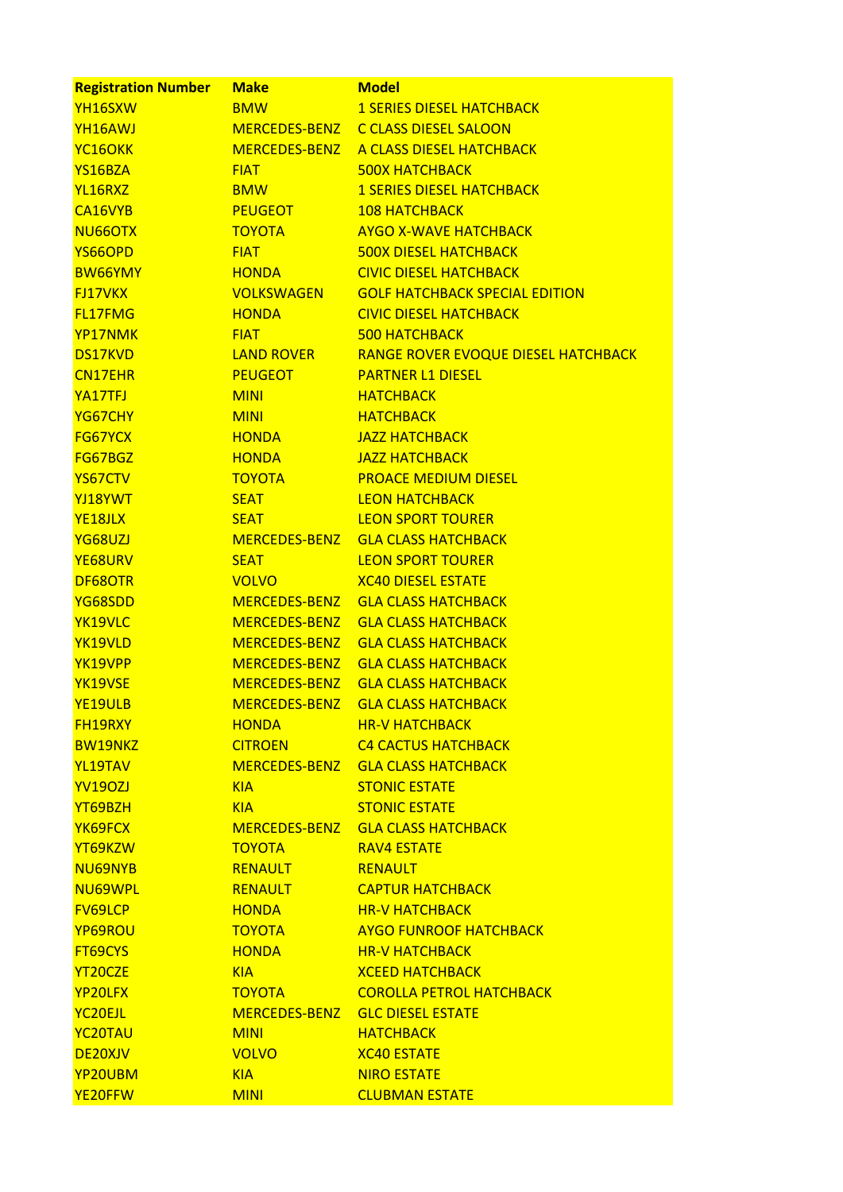| <b>Registration Number</b> | <b>Make</b>       | <b>Model</b>                             |
|----------------------------|-------------------|------------------------------------------|
| YH16SXW                    | <b>BMW</b>        | <b>1 SERIES DIESEL HATCHBACK</b>         |
| YH16AWJ                    |                   | MERCEDES-BENZ C CLASS DIESEL SALOON      |
| YC <sub>16</sub> OKK       |                   | MERCEDES-BENZ A CLASS DIESEL HATCHBACK   |
| YS16BZA                    | <b>FIAT</b>       | <b>500X HATCHBACK</b>                    |
| YL16RXZ                    | <b>BMW</b>        | <b>1 SERIES DIESEL HATCHBACK</b>         |
| CA16VYB                    | <b>PEUGEOT</b>    | <b>108 HATCHBACK</b>                     |
| NU66OTX                    | <b>TOYOTA</b>     | <b>AYGO X-WAVE HATCHBACK</b>             |
| YS66OPD                    | <b>FIAT</b>       | <b>500X DIESEL HATCHBACK</b>             |
| <b>BW66YMY</b>             | <b>HONDA</b>      | <b>CIVIC DIESEL HATCHBACK</b>            |
| <b>FJ17VKX</b>             | <b>VOLKSWAGEN</b> | <b>GOLF HATCHBACK SPECIAL EDITION</b>    |
| <b>FL17FMG</b>             | <b>HONDA</b>      | <b>CIVIC DIESEL HATCHBACK</b>            |
| YP17NMK                    | <b>FIAT</b>       | <b>500 HATCHBACK</b>                     |
| <b>DS17KVD</b>             | <b>LAND ROVER</b> | RANGE ROVER EVOQUE DIESEL HATCHBACK      |
| <b>CN17EHR</b>             | <b>PEUGEOT</b>    | <b>PARTNER L1 DIESEL</b>                 |
| YA17TFJ                    | <b>MINI</b>       | <b>HATCHBACK</b>                         |
| YG67CHY                    | <b>MINI</b>       | <b>HATCHBACK</b>                         |
| <b>FG67YCX</b>             | <b>HONDA</b>      | <b>JAZZ HATCHBACK</b>                    |
| FG67BGZ                    | <b>HONDA</b>      | <b>JAZZ HATCHBACK</b>                    |
| YS67CTV                    | <b>TOYOTA</b>     | <b>PROACE MEDIUM DIESEL</b>              |
| YJ18YWT                    | <b>SEAT</b>       | <b>LEON HATCHBACK</b>                    |
| YE18JLX                    | <b>SEAT</b>       | <b>LEON SPORT TOURER</b>                 |
| YG68UZJ                    |                   | MERCEDES-BENZ GLA CLASS HATCHBACK        |
| YE68URV                    | <b>SEAT</b>       | <b>LEON SPORT TOURER</b>                 |
| DF68OTR                    | <b>VOLVO</b>      | <b>XC40 DIESEL ESTATE</b>                |
| YG68SDD                    |                   | MERCEDES-BENZ GLA CLASS HATCHBACK        |
| YK19VLC                    | MERCEDES-BENZ     | <b>GLA CLASS HATCHBACK</b>               |
| YK19VLD                    | MERCEDES-BENZ     | <b>GLA CLASS HATCHBACK</b>               |
| YK19VPP                    | MERCEDES-BENZ     | <b>GLA CLASS HATCHBACK</b>               |
| YK19VSE                    |                   | MERCEDES-BENZ GLA CLASS HATCHBACK        |
| YE19ULB                    |                   | <b>MERCEDES-BENZ GLA CLASS HATCHBACK</b> |
| <b>FH19RXY</b>             | <b>HONDA</b>      | <b>HR-V HATCHBACK</b>                    |
| <b>BW19NKZ</b>             | <b>CITROEN</b>    | <b>C4 CACTUS HATCHBACK</b>               |
| YL19TAV                    |                   | MERCEDES-BENZ GLA CLASS HATCHBACK        |
| <b>YV190ZJ</b>             | <b>KIA</b>        | <b>STONIC ESTATE</b>                     |
| YT69BZH                    | <b>KIA</b>        | <b>STONIC ESTATE</b>                     |
| YK69FCX                    |                   | MERCEDES-BENZ GLA CLASS HATCHBACK        |
| YT69KZW                    | <b>TOYOTA</b>     | <b>RAV4 ESTATE</b>                       |
| NU69NYB                    | RENAULT           | <b>RENAULT</b>                           |
| NU69WPL                    | <b>RENAULT</b>    | <b>CAPTUR HATCHBACK</b>                  |
| <b>FV69LCP</b>             | <b>HONDA</b>      | <b>HR-V HATCHBACK</b>                    |
| YP69ROU                    | <b>TOYOTA</b>     | <b>AYGO FUNROOF HATCHBACK</b>            |
| FT69CYS                    | <b>HONDA</b>      | <b>HR-V HATCHBACK</b>                    |
| YT20CZE                    | <b>KIA</b>        | <b>XCEED HATCHBACK</b>                   |
| YP20LFX                    | <b>TOYOTA</b>     | <b>COROLLA PETROL HATCHBACK</b>          |
| YC <sub>20EJL</sub>        |                   | MERCEDES-BENZ GLC DIESEL ESTATE          |
| YC <sub>20</sub> TAU       | <b>MINI</b>       | <b>HATCHBACK</b>                         |
| DE20XJV                    | <b>VOLVO</b>      | <b>XC40 ESTATE</b>                       |
| YP20UBM                    | <b>KIA</b>        | <b>NIRO ESTATE</b>                       |
| YE20FFW                    | <b>MINI</b>       | <b>CLUBMAN ESTATE</b>                    |